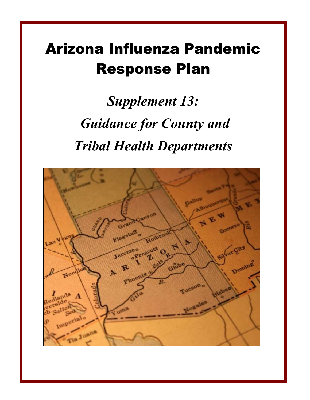# Arizona Influenza Pandemic Response Plan

*Supplement 13: Guidance for County and Tribal Health Departments* 

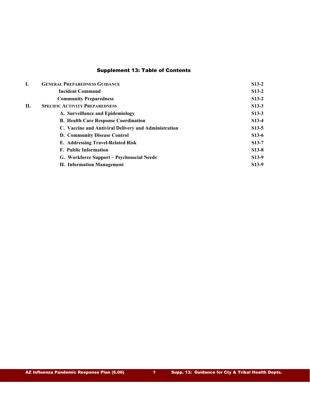# Supplement 13: Table of Contents

| I. | <b>GENERAL PREPAREDNESS GUIDANCE</b>                 | $S13-2$            |
|----|------------------------------------------------------|--------------------|
|    | <b>Incident Command</b>                              | $S13-2$            |
|    | <b>Community Preparedness</b>                        | $S13-2$            |
| Н. | <b>SPECIFIC ACTIVITY PREPAREDNESS</b>                | $S13-3$            |
|    | A. Surveillance and Epidemiology                     | $S13-3$            |
|    | <b>B.</b> Health Care Response Coordination          | $S13-4$            |
|    | C. Vaccine and Antiviral Delivery and Administration | $S13-5$            |
|    | D. Community Disease Control                         | $S13-6$            |
|    | E. Addressing Travel-Related Risk                    | $S13-7$            |
|    | <b>F.</b> Public Information                         | $S13-8$            |
|    | G. Workforce Support - Psychosocial Needs            | $S13-9$            |
|    | <b>H. Information Management</b>                     | S <sub>13</sub> -9 |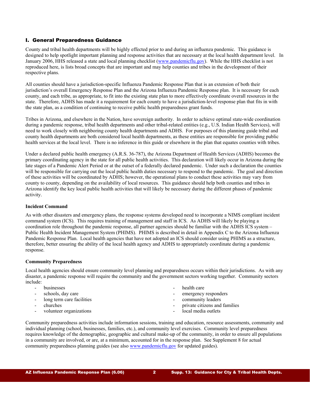# I. General Preparedness Guidance

County and tribal health departments will be highly effected prior to and during an influenza pandemic. This guidance is designed to help spotlight important planning and response activities that are necessary at the local health department level. In January 2006, HHS released a state and local planning checklist [\(www.pandemicflu.gov\)](http://www.pandemicflu.gov/). While the HHS checklist is not reproduced here, is lists broad concepts that are important and may help counties and tribes in the development of their respective plans.

All counties should have a jurisdiction-specific Influenza Pandemic Response Plan that is an extension of both their jurisdiction's overall Emergency Response Plan and the Arizona Influenza Pandemic Response plan. It is necessary for each county, and each tribe, as appropriate, to fit into the existing state plan to more effectively coordinate overall resources in the state. Therefore, ADHS has made it a requirement for each county to have a jurisdiction-level response plan that fits in with the state plan, as a condition of continuing to receive public health preparedness grant funds.

Tribes in Arizona, and elsewhere in the Nation, have sovereign authority. In order to achieve optimal state-wide coordination during a pandemic response, tribal health departments and other tribal-related entities (e.g., U.S. Indian Health Services), will need to work closely with neighboring county health departments and ADHS. For purposes of this planning guide tribal and county health departments are both considered local health departments, as these entities are responsible for providing public health services at the local level. There is no inference in this guide or elsewhere in the plan that equates counties with tribes.

Under a declared public health emergency (A.R.S. 36-787), the Arizona Department of Health Services (ADHS) becomes the primary coordinating agency in the state for all public health activities. This declaration will likely occur in Arizona during the late stages of a Pandemic Alert Period or at the outset of a federally declared pandemic. Under such a declaration the counties will be responsible for carrying out the local public health duties necessary to respond to the pandemic. The goal and direction of these activities will be coordinated by ADHS; however, the operational plans to conduct these activities may vary from county to county, depending on the availability of local resources. This guidance should help both counties and tribes in Arizona identify the key local public health activities that will likely be necessary during the different phases of pandemic activity.

#### **Incident Command**

As with other disasters and emergency plans, the response systems developed need to incorporate a NIMS compliant incident command system (ICS). This requires training of management and staff in ICS. As ADHS will likely be playing a coordination role throughout the pandemic response, all partner agencies should be familiar with the ADHS ICS system – Public Health Incident Management System (PHIMS). PHIMS is described in detail in Appendix C to the Arizona Influenza Pandemic Response Plan. Local health agencies that have not adopted an ICS should consider using PHIMS as a structure, therefore, better ensuring the ability of the local health agency and ADHS to appropriately coordinate during a pandemic response.

# **Community Preparedness**

Local health agencies should ensure community level planning and preparedness occurs within their jurisdictions. As with any disaster, a pandemic response will require the community and the government sectors working together. Community sectors include:

- businesses
- schools, day care
- long term care facilities
- churches
- volunteer organizations
- health care
- emergency responders
- community leaders
- private citizens and families
- local media outlets

Community preparedness activities include information sessions, training and education, resource assessments, community and individual planning (school, businesses, families, etc.), and community level exercises. Community level preparedness requires knowledge of the demographic, geographic and cultural make-up of the community, in order to ensure all populations in a community are involved, or are, at a minimum, accounted for in the response plan. See Supplement 8 for actual community preparedness planning guides (see also [www.pandemicflu.gov](http://www.pandemicflu.gov/) for updated guides).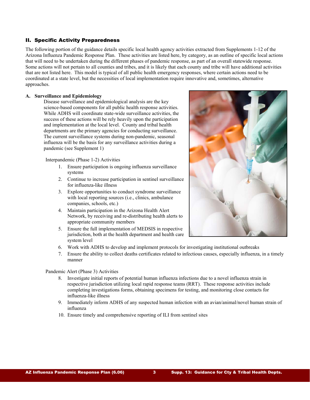# II. Specific Activity Preparedness

The following portion of the guidance details specific local health agency activities extracted from Supplements 1-12 of the Arizona Influenza Pandemic Response Plan. These activities are listed here, by category, as an outline of specific local actions that will need to be undertaken during the different phases of pandemic response, as part of an overall statewide response. Some actions will not pertain to all counties and tribes, and it is likely that each county and tribe will have additional activities that are not listed here. This model is typical of all public health emergency responses, where certain actions need to be coordinated at a state level, but the necessities of local implementation require innovative and, sometimes, alternative approaches.

#### **A. Surveillance and Epidemiology**

Disease surveillance and epidemiological analysis are the key science-based components for all public health response activities. While ADHS will coordinate state-wide surveillance activities, the success of these actions will be rely heavily upon the participation and implementation at the local level. County and tribal health departments are the primary agencies for conducting surveillance. The current surveillance systems during non-pandemic, seasonal influenza will be the basis for any surveillance activities during a pandemic (see Supplement 1)

Interpandemic (Phase 1-2) Activities

- 1. Ensure participation is ongoing influenza surveillance systems
- 2. Continue to increase participation in sentinel surveillance for influenza-like illness
- 3. Explore opportunities to conduct syndrome surveillance with local reporting sources *(i.e., clinics, ambulance*) companies, schools, etc.)
- 4. Maintain participation in the Arizona Health Alert Network, by receiving and re-distributing health alerts to appropriate community members
- 5. Ensure the full implementation of MEDSIS in respective jurisdiction, both at the health department and health care system level



- 6. Work with ADHS to develop and implement protocols for investigating institutional outbreaks
- 7. Ensure the ability to collect deaths certificates related to infectious causes, especially influenza, in a timely manner

#### Pandemic Alert (Phase 3) Activities

- 8. Investigate initial reports of potential human influenza infections due to a novel influenza strain in respective jurisdiction utilizing local rapid response teams (RRT). These response activities include completing investigations forms, obtaining specimens for testing, and monitoring close contacts for influenza-like illness
- 9. Immediately inform ADHS of any suspected human infection with an avian/animal/novel human strain of influenza
- 10. Ensure timely and comprehensive reporting of ILI from sentinel sites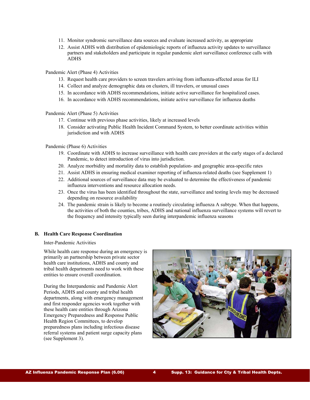- 11. Monitor syndromic surveillance data sources and evaluate increased activity, as appropriate
- 12. Assist ADHS with distribution of epidemiologic reports of influenza activity updates to surveillance partners and stakeholders and participate in regular pandemic alert surveillance conference calls with ADHS

Pandemic Alert (Phase 4) Activities

- 13. Request health care providers to screen travelers arriving from influenza-affected areas for ILI
- 14. Collect and analyze demographic data on clusters, ill travelers, or unusual cases
- 15. In accordance with ADHS recommendations, initiate active surveillance for hospitalized cases.
- 16. In accordance with ADHS recommendations, initiate active surveillance for influenza deaths

Pandemic Alert (Phase 5) Activities

- 17. Continue with previous phase activities, likely at increased levels
- 18. Consider activating Public Health Incident Command System, to better coordinate activities within jurisdiction and with ADHS

#### Pandemic (Phase 6) Activities

- 19. Coordinate with ADHS to increase surveillance with health care providers at the early stages of a declared Pandemic, to detect introduction of virus into jurisdiction.
- 20. Analyze morbidity and mortality data to establish population- and geographic area-specific rates
- 21. Assist ADHS in ensuring medical examiner reporting of influenza-related deaths (see Supplement 1)
- 22. Additional sources of surveillance data may be evaluated to determine the effectiveness of pandemic influenza interventions and resource allocation needs.
- 23. Once the virus has been identified throughout the state, surveillance and testing levels may be decreased depending on resource availability
- 24. The pandemic strain is likely to become a routinely circulating influenza A subtype. When that happens, the activities of both the counties, tribes, ADHS and national influenza surveillance systems will revert to the frequency and intensity typically seen during interpandemic influenza seasons

#### **B. Health Care Response Coordination**

#### Inter-Pandemic Activities

While health care response during an emergency is primarily an partnership between private sector health care institutions, ADHS and county and tribal health departments need to work with these entities to ensure overall coordination.

During the Interpandemic and Pandemic Alert Periods, ADHS and county and tribal health departments, along with emergency management and first responder agencies work together with these health care entities through Arizona Emergency Preparedness and Response Public Health Region Committees, to develop preparedness plans including infectious disease referral systems and patient surge capacity plans (see Supplement 3).

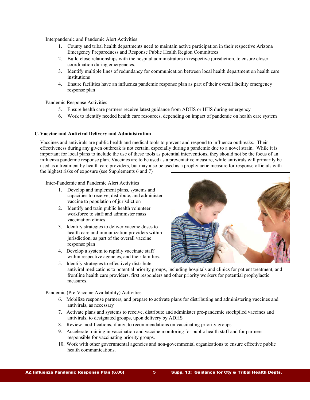Interpandemic and Pandemic Alert Activities

- 1. County and tribal health departments need to maintain active participation in their respective Arizona Emergency Preparedness and Response Public Health Region Committees
- 2. Build close relationships with the hospital administrators in respective jurisdiction, to ensure closer coordination during emergencies.
- 3. Identify multiple lines of redundancy for communication between local health department on health care institutions
- 4. Ensure facilities have an influenza pandemic response plan as part of their overall facility emergency response plan

Pandemic Response Activities

- 5. Ensure health care partners receive latest guidance from ADHS or HHS during emergency
- 6. Work to identify needed health care resources, depending on impact of pandemic on health care system

#### **C.Vaccine and Antiviral Delivery and Administration**

Vaccines and antivirals are public health and medical tools to prevent and respond to influenza outbreaks. Their effectiveness during any given outbreak is not certain, especially during a pandemic due to a novel strain. While it is important for local plans to include the use of these tools as potential interventions, they should not be the focus of an influenza pandemic response plan. Vaccines are to be used as a preventative measure, while antivirals will primarily be used as a treatment by health care providers, but may also be used as a prophylactic measure for response officials with the highest risks of exposure (see Supplements 6 and 7)

Inter-Pandemic and Pandemic Alert Activities

- 1. Develop and implement plans, systems and capacities to receive, distribute, and administer vaccine to population of jurisdiction
- 2. Identify and train public health volunteer workforce to staff and administer mass vaccination clinics
- 3. Identify strategies to deliver vaccine doses to health care and immunization providers within jurisdiction, as part of the overall vaccine response plan
- 4. Develop a system to rapidly vaccinate staff within respective agencies, and their families.
- 5. Identify strategies to effectively distribute



antiviral medications to potential priority groups, including hospitals and clinics for patient treatment, and frontline health care providers, first responders and other priority workers for potential prophylactic measures.

#### Pandemic (Pre-Vaccine Availability) Activities

- 6. Mobilize response partners, and prepare to activate plans for distributing and administering vaccines and antivirals, as necessary
- 7. Activate plans and systems to receive, distribute and administer pre-pandemic stockpiled vaccines and antivirals, to designated groups, upon delivery by ADHS
- 8. Review modifications, if any, to recommendations on vaccinating priority groups.
- 9. Accelerate training in vaccination and vaccine monitoring for public health staff and for partners responsible for vaccinating priority groups.
- 10. Work with other governmental agencies and non-governmental organizations to ensure effective public health communications.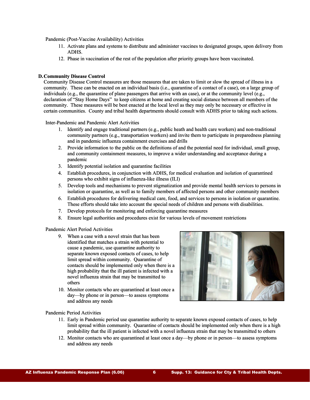Pandemic (Post-Vaccine Availability) Activities

- 11. Activate plans and systems to distribute and administer vaccines to designated groups, upon delivery from ADHS.
- 12. Phase in vaccination of the rest of the population after priority groups have been vaccinated.

#### **D. Community Disease Control**

Community Disease Control measures are those measures that are taken to limit or slow the spread of illness in a community. These can be enacted on an individual basis (i.e., quarantine of a contact of a case), on a large group of individuals (e.g., the quarantine of plane passengers that arrive with an case), or at the community level (e.g., declaration of "Stay Home Days" to keep citizens at home and creating social distance between all members of the community. These measures will be best enacted at the local level as they may only be necessary or effective in certain communities. County and tribal health departments should consult with ADHS prior to taking such actions.

Inter-Pandemic and Pandemic Alert Activities

- 1. Identify and engage traditional partners (e.g., public heath and health care workers) and non-traditional community partners (e.g., transportation workers) and invite them to participate in preparedness planning and in pandemic influenza containment exercises and drills
- 2. Provide information to the public on the definitions of and the potential need for individual, small group, and community containment measures, to improve a wider understanding and acceptance during a pandemic
- 3. Identify potential isolation and quarantine facilities
- 4. Establish procedures, in conjunction with ADHS, for medical evaluation and isolation of quarantined persons who exhibit signs of influenza-like illness (ILI)
- 5. Develop tools and mechanisms to prevent stigmatization and provide mental health services to persons in isolation or quarantine, as well as to family members of affected persons and other community members
- 6. Establish procedures for delivering medical care, food, and services to persons in isolation or quarantine. These efforts should take into account the special needs of children and persons with disabilities.
- 7. Develop protocols for monitoring and enforcing quarantine measures
- 8. Ensure legal authorities and procedures exist for various levels of movement restrictions

#### Pandemic Alert Period Activities

- 9. When a case with a novel strain that has been identified that matches a strain with potential to cause a pandemic, use quarantine authority to separate known exposed contacts of cases, to help limit spread within community. Quarantine of contacts should be implemented only when there is a high probability that the ill patient is infected with a novel influenza strain that may be transmitted to others
- 10. Monitor contacts who are quarantined at least once a day—by phone or in person—to assess symptoms and address any needs



Pandemic Period Activities

- 11. Early in Pandemic period use quarantine authority to separate known exposed contacts of cases, to help limit spread within community. Quarantine of contacts should be implemented only when there is a high probability that the ill patient is infected with a novel influenza strain that may be transmitted to others
- 12. Monitor contacts who are quarantined at least once a day—by phone or in person—to assess symptoms and address any needs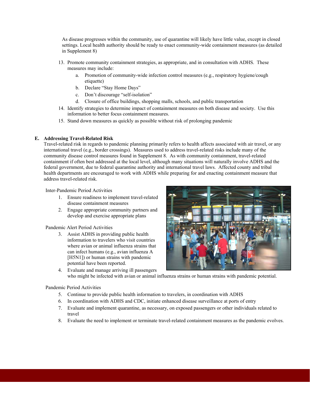As disease progresses within the community, use of quarantine will likely have little value, except in closed settings. Local health authority should be ready to enact community-wide containment measures (as detailed in Supplement 8)

- 13. Promote community containment strategies, as appropriate, and in consultation with ADHS. These measures may include:
	- a. Promotion of community-wide infection control measures (e.g., respiratory hygiene/cough etiquette)
	- b. Declare "Stay Home Days"
	- c. Don't discourage "self-isolation"
	- d. Closure of office buildings, shopping malls, schools, and public transportation
- 14. Identify strategies to determine impact of containment measures on both disease and society. Use this information to better focus containment measures.
- 15. Stand down measures as quickly as possible without risk of prolonging pandemic

# **E. Addressing Travel-Related Risk**

Travel-related risk in regards to pandemic planning primarily refers to health affects associated with air travel, or any international travel (e.g., border crossings). Measures used to address travel-related risks include many of the community disease control measures found in Supplement 8. As with community containment, travel-related containment if often best addressed at the local level, although many situations will naturally involve ADHS and the federal government, due to federal quarantine authority and international travel laws. Affected county and tribal health departments are encouraged to work with ADHS while preparing for and enacting containment measure that address travel-related risk.

Inter-Pandemic Period Activities

- 1. Ensure readiness to implement travel-related disease containment measures
- 2. Engage appropriate community partners and develop and exercise appropriate plans

Pandemic Alert Period Activities

3. Assist ADHS in providing public health information to travelers who visit countries where avian or animal influenza strains that can infect humans (e.g., avian influenza A [H5N1]) or human strains with pandemic potential have been reported.



4. Evaluate and manage arriving ill passengers who might be infected with avian or animal influenza strains or human strains with pandemic potential.

# Pandemic Period Activities

- 5. Continue to provide public health information to travelers, in coordination with ADHS
- 6. In coordination with ADHS and CDC, initiate enhanced disease surveillance at ports of entry
- 7. Evaluate and implement quarantine, as necessary, on exposed passengers or other individuals related to travel
- 8. Evaluate the need to implement or terminate travel-related containment measures as the pandemic evolves.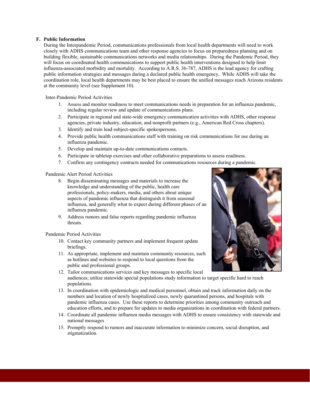#### **F. Public Information**

During the Interpandemic Period, communications professionals from local health departments will need to work closely with ADHS communications team and other response agencies to focus on preparedness planning and on building flexible, sustainable communications networks and media relationships. During the Pandemic Period, they will focus on coordinated health communications to support public health interventions designed to help limit influenza-associated morbidity and mortality. According to A.R.S. 36-787, ADHS is the lead agency for crafting public information strategies and messages during a declared public health emergency. While ADHS will take the coordination role, local health departments may be best placed to ensure the unified messages reach Arizona residents at the community level (see Supplement 10).

Inter-Pandemic Period Activities

- 1. Assess and monitor readiness to meet communications needs in preparation for an influenza pandemic, including regular review and update of communications plans.
- 2. Participate in regional and state-wide emergency communication activities with ADHS, other response agencies, private industry, education, and nonprofit partners (e.g., American Red Cross chapters).
- 3. Identify and train lead subject-specific spokespersons.
- 4. Provide public health communications staff with training on risk communications for use during an influenza pandemic.
- 5. Develop and maintain up-to-date communications contacts.
- 6. Participate in tabletop exercises and other collaborative preparations to assess readiness.
- 7. Confirm any contingency contracts needed for communications resources during a pandemic.

Pandemic Alert Period Activities

- 8. Begin disseminating messages and materials to increase the knowledge and understanding of the public, health care professionals, policy-makers, media, and others about unique aspects of pandemic influenza that distinguish it from seasonal influenza, and generally what to expect during different phases of an influenza pandemic.
- 9. Address rumors and false reports regarding pandemic influenza threats.

#### Pandemic Period Activities

- 10. Contact key community partners and implement frequent update briefings.
- 11. As appropriate, implement and maintain community resources, such as hotlines and websites to respond to local questions from the public and professional groups.
- 12. Tailor communications services and key messages to specific local audiences; utilize statewide special populations study information to target specific hard to reach populations.
- 13. In coordination with epidemiologic and medical personnel, obtain and track information daily on the numbers and location of newly hospitalized cases, newly quarantined persons, and hospitals with pandemic influenza cases. Use these reports to determine priorities among community outreach and education efforts, and to prepare for updates to media organizations in coordination with federal partners.
- 14. Coordinate all pandemic influenza media messages with ADHS to ensure consistency with statewide and national messages
- 15. Promptly respond to rumors and inaccurate information to minimize concern, social disruption, and stigmatization.